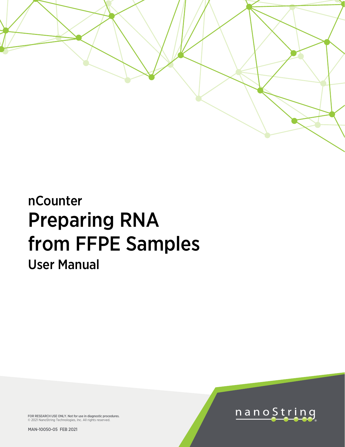

# nCounter Preparing RNA from FFPE Samples User Manual

FOR RESEARCH USE ONLY. Not for use in diagnostic procedures. © 2021 NanoString Technologies, Inc. All rights reserved.

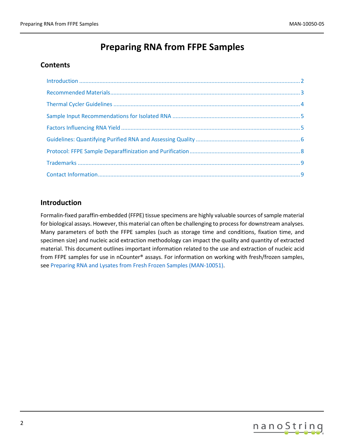# **Preparing RNA from FFPE Samples**

## **Contents**

## <span id="page-1-0"></span>**Introduction**

Formalin-fixed paraffin-embedded (FFPE) tissue specimens are highly valuable sources of sample material for biological assays. However, this material can often be challenging to process for downstream analyses. Many parameters of both the FFPE samples (such as storage time and conditions, fixation time, and specimen size) and nucleic acid extraction methodology can impact the quality and quantity of extracted material. This document outlines important information related to the use and extraction of nucleic acid from FFPE samples for use in nCounter® assays. For information on working with fresh/frozen samples, se[e Preparing RNA and Lysates from Fresh Frozen Samples \(MAN-10051\).](https://www.nanostring.com/download_file/view/860/3778)

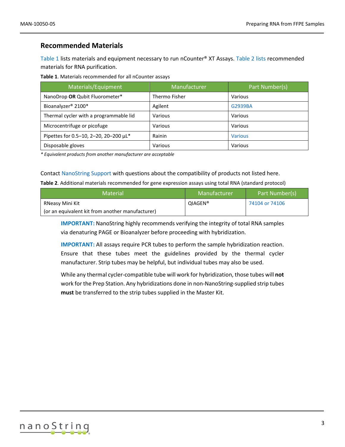#### <span id="page-2-0"></span>**Recommended Materials**

[Table 1](#page-2-1) lists materials and equipment necessary to run nCounter® XT Assays. [Table 2](#page-2-2) lists recommended materials for RNA purification.

<span id="page-2-1"></span>**Table 1**. Materials recommended for all nCounter assays

| Materials/Equipment                    | Manufacturer  | Part Number(s) |
|----------------------------------------|---------------|----------------|
| NanoDrop OR Qubit Fluorometer*         | Thermo Fisher | Various        |
| Bioanalyzer <sup>®</sup> 2100*         | Agilent       | G2939BA        |
| Thermal cycler with a programmable lid | Various       | Various        |
| Microcentrifuge or picofuge            | Various       | Various        |
| Pipettes for 0.5-10, 2-20, 20-200 µL*  | Rainin        | <b>Various</b> |
| Disposable gloves                      | Various       | Various        |

*\* Equivalent products from another manufacturer are acceptable*

#### Contact [NanoString Support](mailto:support@nanostring.com) with questions about the compatibility of products not listed here.

<span id="page-2-2"></span>**Table 2**. Additional materials recommended for gene expression assays using total RNA (standard protocol)

| <b>Material</b>                                  | Manufacturer        | Part Number(s) |
|--------------------------------------------------|---------------------|----------------|
| RNeasy Mini Kit                                  | QIAGEN <sup>®</sup> | 74104 or 74106 |
| (or an equivalent kit from another manufacturer) |                     |                |

**IMPORTANT:** NanoString highly recommends verifying the integrity of total RNA samples via denaturing PAGE or Bioanalyzer before proceeding with hybridization.

**IMPORTANT:** All assays require PCR tubes to perform the sample hybridization reaction. Ensure that these tubes meet the guidelines provided by the thermal cycler manufacturer. Strip tubes may be helpful, but individual tubes may also be used.

While any thermal cycler-compatible tube will work for hybridization, those tubes will **not** work for the Prep Station. Any hybridizations done in non-NanoString-supplied strip tubes **must** be transferred to the strip tubes supplied in the Master Kit.

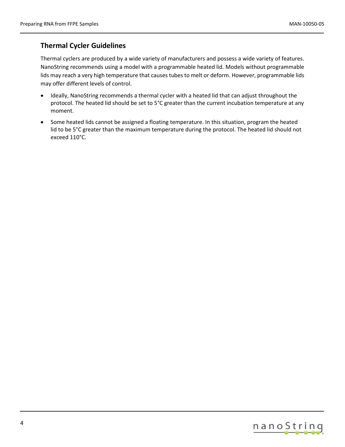# <span id="page-3-0"></span>**Thermal Cycler Guidelines**

Thermal cyclers are produced by a wide variety of manufacturers and possess a wide variety of features. NanoString recommends using a model with a programmable heated lid. Models without programmable lids may reach a very high temperature that causes tubes to melt or deform. However, programmable lids may offer different levels of control.

- Ideally, NanoString recommends a thermal cycler with a heated lid that can adjust throughout the protocol. The heated lid should be set to 5°C greater than the current incubation temperature at any moment.
- Some heated lids cannot be assigned a floating temperature. In this situation, program the heated lid to be 5°C greater than the maximum temperature during the protocol. The heated lid should not exceed 110°C.

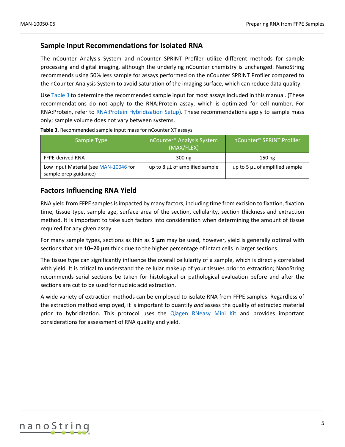#### <span id="page-4-0"></span>**Sample Input Recommendations for Isolated RNA**

The nCounter Analysis System and nCounter SPRINT Profiler utilize different methods for sample processing and digital imaging, although the underlying nCounter chemistry is unchanged. NanoString recommends using 50% less sample for assays performed on the nCounter SPRINT Profiler compared to the nCounter Analysis System to avoid saturation of the imaging surface, which can reduce data quality.

Use [Table 3](#page-4-2) to determine the recommended sample input for most assays included in this manual. (These recommendations do not apply to the RNA:Protein assay, which is optimized for cell number. For RNA:Protein, refer to [RNA:Protein Hybridization Setup\)](https://www.nanostring.com/download_file/view/868/3778). These recommendations apply to sample mass only; sample volume does not vary between systems.

| Sample Type                                                    | nCounter <sup>®</sup> Analysis System<br>(MAX/FLEX) | nCounter® SPRINT Profiler      |
|----------------------------------------------------------------|-----------------------------------------------------|--------------------------------|
| <b>FFPE-derived RNA</b>                                        | $300$ ng                                            | 150 <sub>ng</sub>              |
| Low Input Material (see MAN-10046 for<br>sample prep guidance) | up to 8 µL of amplified sample                      | up to 5 µL of amplified sample |

<span id="page-4-2"></span>**Table 3.** Recommended sample input mass for nCounter XT assays

#### <span id="page-4-1"></span>**Factors Influencing RNA Yield**

RNA yield from FFPE samples is impacted by many factors, including time from excision to fixation, fixation time, tissue type, sample age, surface area of the section, cellularity, section thickness and extraction method. It is important to take such factors into consideration when determining the amount of tissue required for any given assay.

For many sample types, sections as thin as **5 µm** may be used, however, yield is generally optimal with sections that are **10–20 µm** thick due to the higher percentage of intact cells in larger sections.

The tissue type can significantly influence the overall cellularity of a sample, which is directly correlated with yield. It is critical to understand the cellular makeup of your tissues prior to extraction; NanoString recommends serial sections be taken for histological or pathological evaluation before and after the sections are cut to be used for nucleic acid extraction.

A wide variety of extraction methods can be employed to isolate RNA from FFPE samples. Regardless of the extraction method employed, it is important to quantify *and* assess the quality of extracted material prior to hybridization. This protocol uses the [Qiagen RNeasy Mini](https://www.qiagen.com/us/products/discovery-and-translational-research/dna-rna-purification/rna-purification/total-rna/rneasy-ffpe-kit/#orderinginformation) Kit and provides important considerations for assessment of RNA quality and yield.

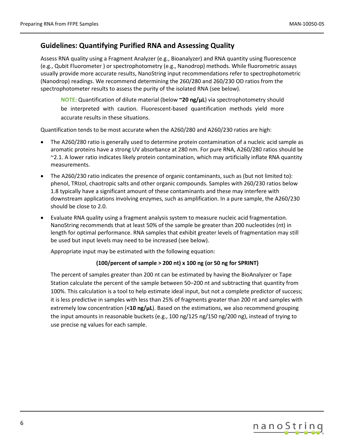## <span id="page-5-0"></span>**Guidelines: Quantifying Purified RNA and Assessing Quality**

Assess RNA quality using a Fragment Analyzer (e.g., Bioanalyzer) and RNA quantity using fluorescence (e.g., Qubit Fluorometer ) or spectrophotometry (e.g., Nanodrop) methods. While fluorometric assays usually provide more accurate results, NanoString input recommendations refer to spectrophotometric (Nanodrop) readings. We recommend determining the 260/280 and 260/230 OD ratios from the spectrophotometer results to assess the purity of the isolated RNA (see below).

**NOTE:** Quantification of dilute material (below **~20 ng/μL**) via spectrophotometry should be interpreted with caution. Fluorescent-based quantification methods yield more accurate results in these situations.

Quantification tends to be most accurate when the A260/280 and A260/230 ratios are high:

- The A260/280 ratio is generally used to determine protein contamination of a nucleic acid sample as aromatic proteins have a strong UV absorbance at 280 nm. For pure RNA, A260/280 ratios should be ~2.1. A lower ratio indicates likely protein contamination, which may artificially inflate RNA quantity measurements.
- The A260/230 ratio indicates the presence of organic contaminants, such as (but not limited to): phenol, TRIzol, chaotropic salts and other organic compounds. Samples with 260/230 ratios below 1.8 typically have a significant amount of these contaminants and these may interfere with downstream applications involving enzymes, such as amplification. In a pure sample, the A260/230 should be close to 2.0.
- Evaluate RNA quality using a fragment analysis system to measure nucleic acid fragmentation. NanoString recommends that at least 50% of the sample be greater than 200 nucleotides (nt) in length for optimal performance. RNA samples that exhibit greater levels of fragmentation may still be used but input levels may need to be increased (see below).

Appropriate input may be estimated with the following equation:

#### **(100/percent of sample > 200 nt) x 100 ng (or 50 ng for SPRINT)**

The percent of samples greater than 200 nt can be estimated by having the BioAnalyzer or Tape Station calculate the percent of the sample between 50–200 nt and subtracting that quantity from 100%. This calculation is a tool to help estimate ideal input, but not a complete predictor of success; it is less predictive in samples with less than 25% of fragments greater than 200 nt and samples with extremely low concentration (<10 ng/ $\mu$ L). Based on the estimations, we also recommend grouping the input amounts in reasonable buckets (e.g., 100 ng/125 ng/150 ng/200 ng), instead of trying to use precise ng values for each sample.

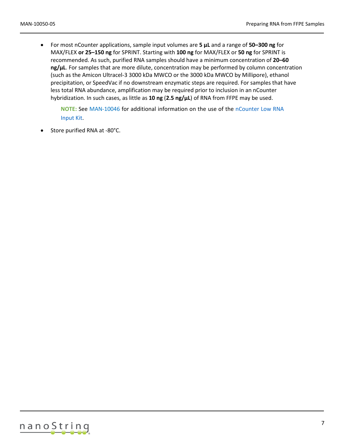• For most nCounter applications, sample input volumes are **5 µL** and a range of **50–300 ng** for MAX/FLEX **or 25–150 ng** for SPRINT. Starting with **100 ng** for MAX/FLEX or **50 ng** for SPRINT is recommended. As such, purified RNA samples should have a minimum concentration of **20–60 ng/µL**. For samples that are more dilute, concentration may be performed by column concentration (such as the Amicon Ultracel-3 3000 kDa MWCO or the 3000 kDa MWCO by Millipore), ethanol precipitation, or SpeedVac if no downstream enzymatic steps are required. For samples that have less total RNA abundance, amplification may be required prior to inclusion in an nCounter hybridization. In such cases, as little as **10 ng** (**2.5 ng/µL**) of RNA from FFPE may be used.

**NOTE:** See [MAN-10046](https://www.nanostring.com/wp-content/uploads/2021/03/MAN-10046-04_Low_RNA_Input_Amplification_Kit_User_Manual-1.pdf) for additional information on the use of the [nCounter Low RNA](https://www.nanostring.com/products/sample-prep-and-ncounter-consumables/ncounter-low-rna-input-kit)  [Input Kit.](https://www.nanostring.com/products/sample-prep-and-ncounter-consumables/ncounter-low-rna-input-kit)

• Store purified RNA at -80°C.

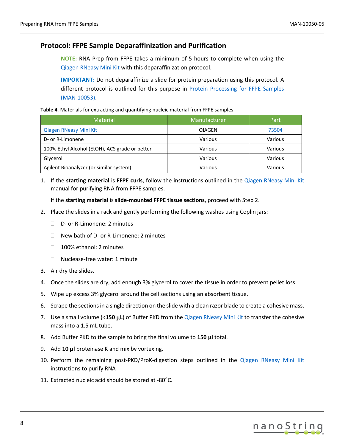## <span id="page-7-0"></span>**Protocol: FFPE Sample Deparaffinization and Purification**

**NOTE:** RNA Prep from FFPE takes a minimum of 5 hours to complete when using the [Qiagen RNeasy Mini](https://www.qiagen.com/us/products/discovery-and-translational-research/dna-rna-purification/rna-purification/total-rna/rneasy-ffpe-kit/#orderinginformation) Kit with this deparaffinization protocol.

**IMPORTANT:** Do not deparaffinize a slide for protein preparation using this protocol. A different protocol is outlined for this purpose in [Protein Processing for FFPE Samples](https://www.nanostring.com/application/files/1614/9910/9795/MAN-10053-01_Protein_Processing_for_FFPE_Samples.pdf)  [\(MAN-10053\).](https://www.nanostring.com/application/files/1614/9910/9795/MAN-10053-01_Protein_Processing_for_FFPE_Samples.pdf)

#### **Table 4**. Materials for extracting and quantifying nucleic material from FFPE samples

| <b>Material</b>                                | Manufacturer  | Part    |
|------------------------------------------------|---------------|---------|
| Qiagen RNeasy Mini Kit                         | <b>QIAGEN</b> | 73504   |
| D- or R-Limonene                               | Various       | Various |
| 100% Ethyl Alcohol (EtOH), ACS grade or better | Various       | Various |
| Glycerol                                       | Various       | Various |
| Agilent Bioanalyzer (or similar system)        | Various       | Various |

1. If the **starting material** is **FFPE curls**, follow the instructions outlined in the [Qiagen RNeasy Mini](https://www.qiagen.com/us/products/discovery-and-translational-research/dna-rna-purification/rna-purification/total-rna/rneasy-ffpe-kit/#orderinginformation) Kit manual for purifying RNA from FFPE samples.

If the **starting material** is **slide-mounted FFPE tissue sections**, proceed with Step 2.

- 2. Place the slides in a rack and gently performing the following washes using Coplin jars:
	- □ D- or R-Limonene: 2 minutes
	- $\Box$  New bath of D- or R-Limonene: 2 minutes
	- □ 100% ethanol: 2 minutes
	- □ Nuclease-free water: 1 minute
- 3. Air dry the slides.
- 4. Once the slides are dry, add enough 3% glycerol to cover the tissue in order to prevent pellet loss.
- 5. Wipe up excess 3% glycerol around the cell sections using an absorbent tissue.
- 6. Scrape the sectionsin a single direction on the slide with a clean razor blade to create a cohesive mass.
- 7. Use a small volume (<**150** µ**L**) of Buffer PKD from the [Qiagen RNeasy Mini](https://www.qiagen.com/us/products/discovery-and-translational-research/dna-rna-purification/rna-purification/total-rna/rneasy-ffpe-kit/#orderinginformation) Kit to transfer the cohesive mass into a 1.5 mL tube.
- 8. Add Buffer PKD to the sample to bring the final volume to **150 µl** total.
- 9. Add **10 µl** proteinase K and mix by vortexing.
- 10. Perform the remaining post-PKD/ProK-digestion steps outlined in the [Qiagen RNeasy Mini](https://www.qiagen.com/us/products/discovery-and-translational-research/dna-rna-purification/rna-purification/total-rna/rneasy-ffpe-kit/#orderinginformation) Kit instructions to purify RNA
- 11. Extracted nucleic acid should be stored at -80°C.